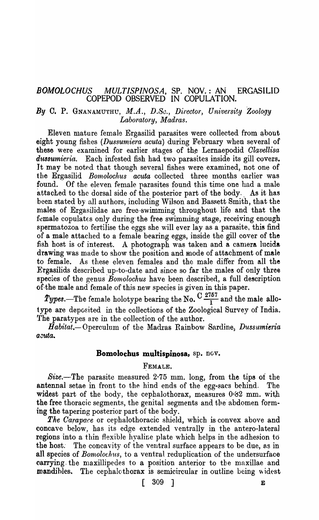# *BOMOLOCHUS MULTISPINOSA,* SP. NOV.: AN ERGASILID COPEPOD OBSERVED IN COPULATION.

# *By* C. P. GNANAMUTHU, *M.A., D.Se., Director, Un1:versity Zoology Laboratory, Madras.*

Eleven mature female Ergasilid parasites were collected from about eight young fishes *(Dussumiera acuta)* during February when several of these were examined for earlier stages of the Lernaepodid *Clavellisa* dussumieria. Each infested fish had two parasites inside its gill covers. It may be noted that though several fishes were examined, not one of the Ergasilid *Bomolochus acuta* collected three months earlier was found. Of the eleven female parasites found this time one had a male attached to the dorsal side of the posterior part of the body. As it has been stated by all authors, including Wilson and Bassett Smith, that the males of Ergasilidae are free swimming throughout life and that the female copulates only during the free swimming stage, receiving enough spermatozoa to fertilise the eggs she will ever lay as a parasite, this find of a male attached to a female bearing eggs, inside the gill cover of the fish host is of interest. A photograph was taken and a camera lucida drawing was made to show the position and mode of attachment of male to female. As these eleven females and the male differ from all the Ergasilids described up-to-date and since so far the males of only three species of the genus *Bomolochus* have been described, a full description of the male and female of this new species is given in this paper.

 $\mathit{Types}.$ —The female holotype bearing the No.  $\mathrm{C}\frac{2757}{1}$  and the male allotype are deposited in the collections of the Zoological Survey of India. The paratypes are in the collection of the author.

Habitat.-Operculum of the Madras Rainbow Sardine, *Dussumieria acuta.* 

#### **Bomolochus multispinosa,** sp. nov.

## FEMALE.

Size.-The parasite measured  $2.75$  mm. long, from the tips of the antennal setae in front to the hind ends of the egg-sacs behind. The widest part of the body, the cephalothorax, measures  $0.62$  mm. with the free thoracic segments, the genital segments and the abdomen forming the tapering posterior part of the body.

*The Oarapace* or cephalothoracic shield, which is convex above and concave below, has its edge extended ventrally in the antero-Iateral regions into a thin flexible hyaline plate which helps in the adhesion to the host. The concavity of the ventral surface appears to be due, as in all species of *Bomolochus*, to a ventral reduplication of the undersurface carrying the maxillipedes to a position anterior to the maxillae and mandibles. The cephalcthorax is semicircular in outline being widest

 $\begin{bmatrix} 309 & 1 \end{bmatrix}$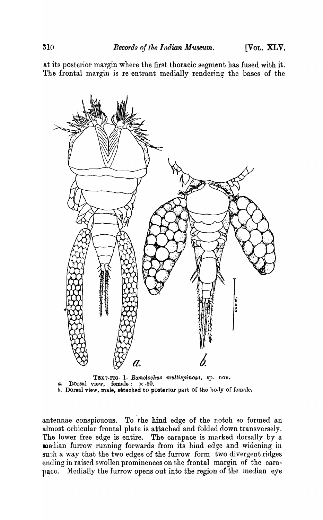at its posterior margin where the first thoracic segment has fused with it. The frontal margin is re-entrant medially rendering the bases of the



TEXT-FIG. 1. *Bomolochus multispinosa*, sp. nov. *a.* Dorsal view, female:  $\times$  50.  $b.$  Dorsal view, male, attached to posterior part of the body of female.

antennae conspicuous. To the hind edge of the notch so formed an almost orbicular frontal plate is attached and folded down transversely. The lower free edge is entire. The carapace is marked dorsally by a median furrow running forwards from its hind edge and widening in such a way that the two edges of the furrow form two divergent ridges ending in raised swollen prominences on the frontal margin of the carapace. Medially the furrow opens out into the region of the median eye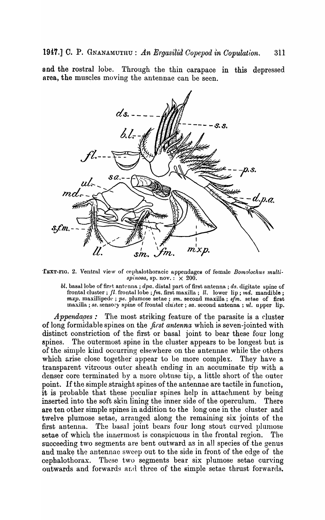and the rostral lobe. Through the thin carapace in this depressed area, the muscles moving the antennae can be seen.



TEXT-FIG. 2. Ventral view of cephalothoracic appendages of female Bomolochus multi $spinosa$ , sp. nov.:  $\times$  200.

*bl.* basal lobe of first antenna; *dpa.* distal part of first antenna; *ds.* digitate spine of frontal cluster; *fl.* frontal lobe *;Im.* first maxilla; *ll.* lower lip; *md.* mandible; *mxp.* maxillipede; *ps.* plumose setae; *sm.* second maxilla; *sfm.* setae of first maxilla ; ss. sensory spine of frontal cluster; sa. second antenna; ul. upper lip.

*Appendages*: The most striking feature of the parasite is a cluster of long formidable spines on the *first antenna* which is seven-jointed with distinct constriction of the first or basal joint to bear these four long spines. The outermost spine in the cluster appears to be longest but is of the simple kind occurring elsewhere on the antennae while the others which arise close together appear to be more complex. They have a transparent vitreous outer sheath ending in an accuminate tip with a denser core terminated by a more obtuse tip, a little short of the outer point. If the simple straight spines of the antennae are tactile in function, it is probable that these peculiar spines help in attachment by being inserted into the soft skin lining the inner side of the operculum. There are ten other simple spines in addition to the long one in the cluster and twelve plumose setae, arranged along the remaining six joints of the first antenna. The basal joint bears four long stout curved plumose setae of which the innermost is conspicuous in the frontal region. The succeeding two segments are bent outward as in all species of the genus and make the antennae sweep out to the side in front of the edge of the cephalothorax. These two segments bear six plumose setae curving outwards and forwards and three of the simple setae thrust forwards.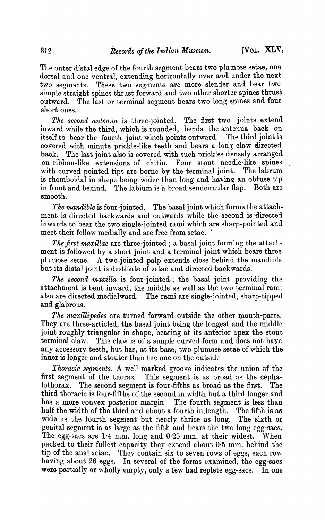The outer distal edge of the fourth segment bears two plumose setae, one dorsal and one ventral, extending horizontally over and under the next two segments. These two segments are more slender and bear two simple straight spines thrust forward and two other shorter spines thrust outward. The last or terminal segment bears two long spines and four short ones.

*The second antenna* is three-jointed. The first two joints extend inward while the third, which is rounded, bends the antenna back on itself to bear the fourth joint which points outward. The third joint is covered with minute prickle-like teeth and bears a long claw directed back. The last joint also is covered with such prickles densely arranged on ribbon-like extensions of chitin. Four stout needle-like spines with curved pointed tips are borne by the terminal joint. The labrum is rhomboidal in shape being wider than long and having an obtuse tip in front and behind. The labium is a broad semicircular flap. Both are smooth.

*The mandible* is four-jointed. The basal joint which forms the attachment is directed backwards and outwards while the second is directed inwards to bear the two single-jointed rami which are sharp-pointed and meet their fellow medially and are free from setae.

*The first maxillae* are three-jointed; a basal joint forming the attachment is followed by a short joint and a terminal joint which bears three plumose setae. A two-jointed palp extends close behind the mandible but its distal joint is destitute of setae and directed backwards.

*The second maxilla* is four-jointed; the basal joint providing the attachment is bent inward, the middle as well as the two terminal rami also are directed medialward. The rami are single-jointed, sharp-tipped and glabrous.

*The maxillipedes* are turned forward outside the other mouth-parts. They are three-articled, the basal joint being the longest and the middle joint roughly triangular in shape, bearing at its anterior apex the stout terminal claw. This claw is of a simple curved form and does not haye any accessory teeth, but has, at its base, two plumose setae of which the inner is longer and stouter than the one on the outside.

*Thoracic segments.* A well marked groove indicates the union of the first segment of the thorax. This segment is as broad as the cephalothorax. The second segment is four-fifths as broad as the first. The third thoracic is four-fifths of the second in width-but a third longer and has a more convex posterior margin. The fourth segment is less than half the width of the third and about a fourth in length. The fifth is as wide as the fourth segment but nearly thrice as long. The sixth or genital segment is as large as the fifth and bears the two long egg-sacs. The egg-sacs are  $1.4 \,$  nm. long and  $0.25 \,$  mm. at their widest. When packed to their fullest capacity they extend about  $0.5$  mm. behind the tip of the anal setae. They contain six to seven rows of eggs., each row havihg about 26 eggs. In several of the forms examined, the egg-sacs were partially or wholly empty, only a few had replete egg-sacs. In one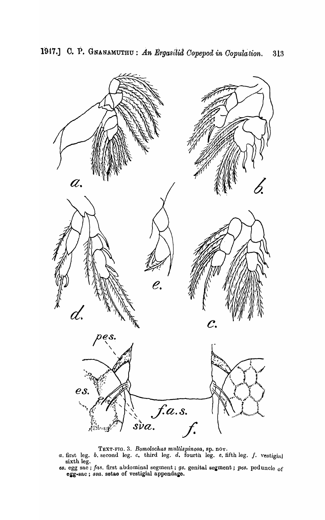

1947.] C. P. GNANAMUTHU: An Ergasilia Copepod in Copulation. 313

- TEXT-FIG. 3. Bomolochus multispinosa, sp. nov.<br>a. first leg. b. second leg. c. third leg. d. fourth leg. e. fifth leg. f. vestigial
- sixth leg.<br>es. egg sac; fas. first abdominal segment; gs. genital segment; pes. peduncle of egg-sac; sva. setae of vestigial appendage.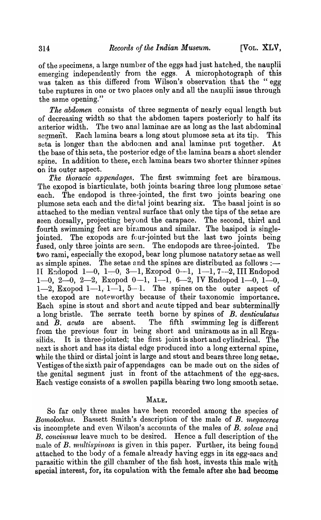of the specimens, a large number of the eggs had just hatched, the naupJii emerging independently from the eggs. A microphotograph of this was taken as this differed from Wilson's observation that the "egg tube ruptures in one or *two* places only and aU the nauplii issue through the same opening."

*The abdomen* consists of three segments of nearly equal length but of decreasing width so that the abdomen tapers posteriorly to half its anterior width. The two anal laminae are as long as the Jast abdominal segment. Each lamina bears a long stout plumose seta at its tip. This seta is longer than the abdomen and anal laminae put together. At the base of this seta, the posterior edge of the lamina bears a short slender spine. In addition to these, each lamina bears two shorter thinner spines on its outer aspect.

The thoracic appendages. The first swimming feet are biramous. The exopod is biarticulate, both joints bearing three long plumose setae each. The endopod is three-jointed, the first two joints bearing one plumose seta each and the dietal joint bearing six. The basal joint is so attached to the median ventral surface that only the tips of the setae are seen dorsally, projecting beyond the carapace. The second, third and fourth swimming feet are biramous and similar. The basipod is singlejointed. The exopods are four-jointed but the last two joints being fused, only three joints are seen. The endopods are three-jointed. The two rami, especially the exopod, bear long plumose natatory setae as well as simple spines. The setae and the spines are distributed as follows  $:$   $-$ II Endopod 1-0, 1-0, 3-1, Exopod 0--1, 1-1, 7---2, III Endopod 1-0, 2-0, 2-2, Exopod 0-1, 1-1, 6-2, IV Endopod 1-0, 1-0,  $1-2$ , Exopod  $1-1$ ,  $1-1$ ,  $5-1$ . The spines on the outer aspect of the exopod are noteworthy because of their taxonomic importance. Each spine is stout and short and acute tipped and bear subterminally a long bristle. The serrate teeth borne by spines of *B. denticulatus*  and B. *acuta* are absent. The fifth swimming leg is different from the previous four in being short and uniramous as in all Ergasilids. It is three-jointed; the first joint is short and cylindrical. The next is short and has its distal edge produced into a long external spine, while the third or distal joint is large and stout and bears three long setae. Vestiges of the sixth pair of appendages can be made out on the sides of the genital segment just in front of the attachment of the egg-sacs. Each vestige consists of a swollen papilla bearing two long smooth setae.

## MALE.

So far only three males have been recorded among the species of *Bomolochus.* Bassett Smith's description of the male of B. *megaceros* is incomplete and even Wilson's accounts of the males of B. *soleae* and *B. concinnus* leave much to be desired. Hence a full description of the male of B. multispinosa is given in this paper. Further, its being found attached to the body of a female already having eggs in its egg-sacs and parasitic 'within the gill chamber of the fish host, invests this male with special interest, for, its copulation with the female after she had become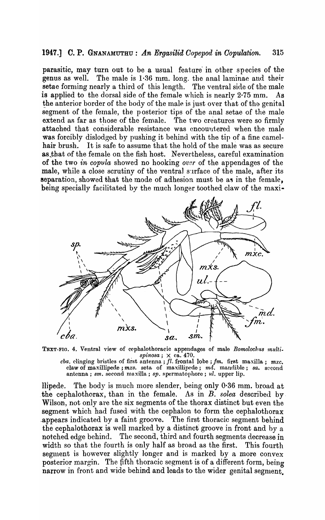## 1947.] C. P. GNANAMUTHU: *An Ergasilid Copepod in Copulation.* 315

parasitic, may turn out to be a usual feature in other species of the genus as well. The male is  $1.36$  mm. long. the anal laminae and their setae forming nearly a third of this length. The ventral side of the male is applied to the dorsal side of the female which is nearly  $2·75$  mm. As the anterior border of the body of the male is just over that of the genital segment of the female, the posterior tips of the anal setae of the male extend as far as those of the female. The two creatures were so firmly attached that considerable resistance was encountered when the male was forcibly dislodged by pushing it behind with the tip of a fine camel-<br>hair brush. It is safe to assume that the hold of the male was as secure It is safe to assume that the hold of the male was as secure as that of the female on the fish host. Nevertheless, careful examination of the two *in copula* sho,ved no hooking *over* of the appendages of the male, while a close scrutiny of the ventral surface of the male, after its separation, showed that the mode of adhesion must be as in the female, being specially facilitated by the much longer toothed claw of the maxi-



TEXT-FIG. 4. Ventral view of cephalothoracic appendages of male *Bomolochus multi.*  $spinosa; \times ca. 470.$ 

*chao* clinging bristles of first antenna; *fl.* frontal lobe; *fm.* first maxilla; *mxc.*  claw of maxillipede ; *mxs.* seta of maxillipede; *md.* Inandible; *sa.* second antenna; *sm.* second maxilla; *sp.* spermatophore; *ul.* upper lip.

llipede. The body is much more slender, being only 0·36 mm. broad at the cephalothorax, than in the female. As in  $B$ . *solea* described by Wilson, not only are the six segments of the thorax distinct but even the segment which had fused with the cephalon to form the cephalothorax .appears indicated by a faint groove. The first thoracic segment behind the cephalothorax is well marked by a distinct groove in front and by a notched edge behind. The second, third and fourth segments decrease in width so that the fourth is only half as broad as the first. This fourth segment is however slightly longer and is marked by a more convex posterior margin. The fifth thoracic segment is of a different form, being narrow in front and wide behind and leads to the wider genital segment: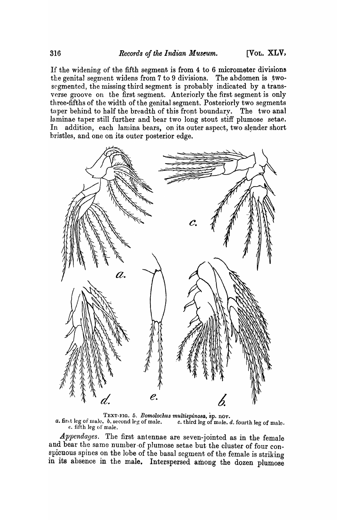If the widening of the fifth segment is from 4 to 6 micrometer divisions the genital segment widens from  $7$  to  $9$  divisions. The abdomen is twosegmented, the missing third segment is probably indicated by a transverse groove on the first segment. Anteriorly the first segment is only three-fifths of the width of the genital segment. Posteriorly two segments taper behind to half the breadth of this front boundary. The two anal laminae taper still further and bear two long stout stiff plumose setae. In addition, each lamina bears, on its outer aspect, two slender short bristles, and one on its outer posterior edge.



TEXT-FIG. 5. *Bomolochus multispinosa*, *sp. nov. a.* first leg of male. *b.* second leg of male. *c. third leg of male. <i>d. c.* third leg of male. *d.* fourth leg of male.  $e.$  fifth leg of male.

*Appendages.* The first antennae are seven-jointed as in the female and bear the same number of plumose setae but the cluster of four conspicuous spines on the lobe of the basal segment of the female is striking in its absence in the male. Interspersed among the dozen plumose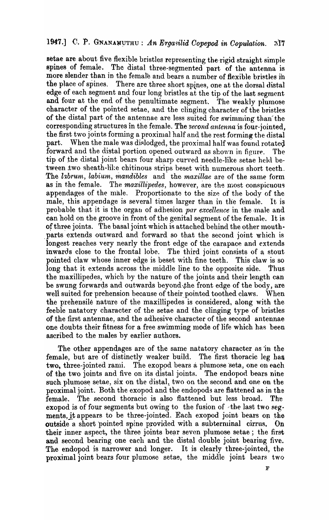setae are about five flexible bristles representing the rigid straight simple spines of female. The distal three-segmented part of the antenna is more slender than in the female and bears a number of flexible bristles in the place of spines. There are three short spines, one at the dorsal distal edge of each segment and four long bristles at the tip of the last segment and four at the end of the penultimate segment. The weakly plumose character of the pointed setae, and the clinging character of the bristles of the distal part of the antennae are less suited for swimming than the corresponding structures in the female. The second antenna is four-jointed, the first two joints forming a proximal half and the rest forming the distal When the male was dislodged, the proximal half was found rotated part. forward and the distal portion opened outward as shown in figure. The tip of the distal joint bears four sharp curved needle-like setae held between two sheath-like chitinous strips beset with numerous short teeth. The labrum, labium, mandibles and the maxillae are of the same form The maxillipedes, however, are the most conspicuous as in the female. appendages of the male. Proportionate to the size of the body of the male, this appendage is several times larger than in the female. It is probable that it is the organ of adhesion par excellence in the male and can hold on the groove in front of the genital segment of the female. It is of three joints. The basal joint which is attached behind the other mouthparts extends outward and forward so that the second joint which is longest reaches very nearly the front edge of the carapace and extends inwards close to the frontal lobe. The third joint consists of a stout pointed claw whose inner edge is beset with fine teeth. This claw is so long that it extends across the middle line to the opposite side. Thus the maxillipedes, which by the nature of the joints and their length can be swung forwards and outwards beyond the front edge of the body, are well suited for prehension because of their pointed toothed claws. When the prehensile nature of the maxillipedes is considered, along with the feeble natatory character of the setae and the clinging type of bristles of the first antennae, and the adhesive character of the second antennae one doubts their fitness for a free swimming mode of life which has been ascribed to the males by earlier authors.

The other appendages are of the same natatory character as in the female, but are of distinctly weaker build. The first thoracic leg has two, three-jointed rami. The exopod bears a plumose seta, one on each of the two joints and five on its distal joints. The endopod bears nine such plumose setae, six on the distal, two on the second and one on the proximal joint. Both the exopod and the endopods are flattened as in the The second thoracic is also flattened but less broad. female. **The** exopod is of four segments but owing to the fusion of the last two segments, it appears to be three-jointed. Each exopod joint bears on the outside a short pointed spine provided with a subterminal cirrus. On their inner aspect, the three joints bear seven plumose setae; the first and second bearing one each and the distal double joint bearing five. The endopod is narrower and longer. It is clearly three-jointed, the proximal joint bears four plumose setae, the middle joint bears two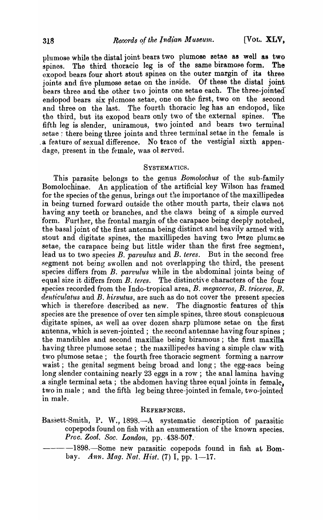plumose while the distal joint bears two plumose setae as well as two spines. The third thoracic leg is of the same biramose form. The exopod bears four short stout spines on the outer margin of its three ioints and five plumose setae on the inside. Of these the distal joint joints and five plumose setae on the inside. bears three and the other two joints one setae each. The three-jointed endopod bears six plamose setae, one on the first, two on the second and three on the last. The fourth thoracic leg has an endopod, like the third, but its exopod bears only two of the external spines. The fifth leg is slender, uniramous, two jointed and bears two terminal setae ; there being three joints and three terminal setae in the female is a feature of sexual difference. No trace of the vestigial sixth appendage, present in the female, was ol served.

#### SYSTEMATICS.

This parasite belongs to the genus *Bomolochus* of the sub-family Bomolochinae. An application of the artificial key Wilson has framed for the species of the genus, brings out the importance of the maxillipedes in being turned forward outside 'the other mouth parts, their claws not having any teeth or branches, and the claws being of a simple curved form. Further, the frontal margin of the carapace being deeply notched, the basal joint of the first antenna being distinct and beavily armed with stout and digitate spines, the maxillipedes having two latge plumese setae, the carapace being but little wider than the first free segment, lead us to two species *B. parvulus* and *B. teres.* But in the second free segment not being swollen and not overlapping the third, the present species differs from  $B$ . parvulus while in the abdominal joints being of equal size it differs from  $B$ . teres. The distinctive characters of the four The distinctive characters of the four ~pecie8 recorded from the Indo-tropical area, *B. megaceros, B. triceros, B.*  denticulatus and *B. hirsutus*, are such as do not cover the present species which is therefore described as new. The diagnostic features of this species are the presence of over ten simple spines, three stout conspicuous digitate spines, as well as over dozen sharp plumose setae on the first antenna, which is seven-jointed; the second antennae having four spines; the mandibles and second maxillae being biramous; the first maxilla having three plumose setae; the maxillipedes having a simple claw with two plumose setae; the fourth free thoracic segment forming a narrow waist; the genital segment being broad and long; the egg-sacs being long slender containing nearly 23 eggs in a row; the anal lamina having a single terminal seta; the abdomen having three equal joints in female, two in male; and the fifth leg being three-jointed in female, two-jointed in male.

#### REFERFNCES.

- Bassett-Smith, P. W., 1898.—A systematic description of parasitic copepods found on fish with an enumeration of the known species. *Proc. Zool. Soc. London, pp. 438-507.* 
	- $-1898.$  Some new parasitic copepods found in fish at Bombay. *Ann. Mag. Nat. Hist.* (7) I, pp. 1-17.